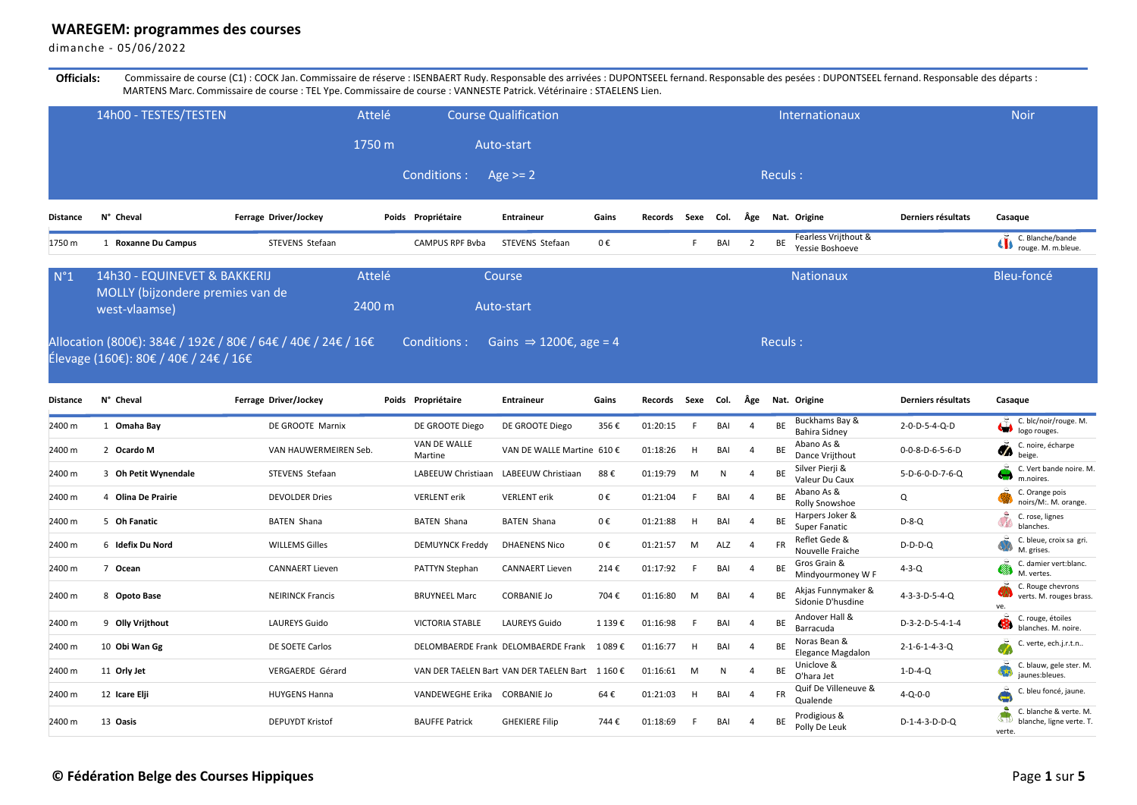## **WAREGEM: programmes des courses**

dimanche - 05/06/2022

Officials: Commissaire de course (C1) : COCK Jan. Commissaire de réserve : ISENBAERT Rudy. Responsable des arrivées : DUPONTSEEL fernand. Responsable des léparts : DUPONTSEEL fernand. Responsable des départs : MARTENS Marc. Commissaire de course : TEL Ype. Commissaire de course : VANNESTE Patrick. Vétérinaire : STAELENS Lien.

|                 | 14h00 - TESTES/TESTEN                                            | Attelé                                                       |                              | <b>Course Qualification</b>                     |        |                   |      |              |                             |           | Internationaux                          |                             | <b>Noir</b>                                                                       |
|-----------------|------------------------------------------------------------------|--------------------------------------------------------------|------------------------------|-------------------------------------------------|--------|-------------------|------|--------------|-----------------------------|-----------|-----------------------------------------|-----------------------------|-----------------------------------------------------------------------------------|
|                 |                                                                  | 1750 m                                                       |                              | Auto-start                                      |        |                   |      |              |                             |           |                                         |                             |                                                                                   |
|                 |                                                                  |                                                              | Conditions:                  | Age $>= 2$                                      |        |                   |      |              |                             | Reculs:   |                                         |                             |                                                                                   |
| <b>Distance</b> | N° Cheval                                                        | Ferrage Driver/Jockey                                        | Poids Propriétaire           | <b>Entraineur</b>                               | Gains  | Records Sexe Col. |      |              | Âge                         |           | Nat. Origine                            | Derniers résultats          | Casaque                                                                           |
| 1750 m          | 1 Roxanne Du Campus                                              | STEVENS Stefaan                                              | CAMPUS RPF Bvba              | STEVENS Stefaan                                 | 0€     |                   | F    | BAI          | $\overline{2}$              | BE        | Fearless Vrijthout &<br>Yessie Boshoeve |                             | C. Blanche/bande<br>rouge. M. m.bleue.                                            |
| $N^{\circ}1$    | 14h30 - EQUINEVET & BAKKERIJ<br>MOLLY (bijzondere premies van de | Attelé                                                       |                              | Course                                          |        |                   |      |              |                             |           | <b>Nationaux</b>                        |                             | Bleu-foncé                                                                        |
|                 | west-vlaamse)                                                    | 2400 m                                                       |                              | Auto-start                                      |        |                   |      |              |                             |           |                                         |                             |                                                                                   |
|                 |                                                                  | Allocation (800€): 384€ / 192€ / 80€ / 64€ / 40€ / 24€ / 16€ | Conditions :                 | Gains $\Rightarrow$ 1200€, age = 4              |        |                   |      |              |                             | Reculs:   |                                         |                             |                                                                                   |
|                 | Élevage (160€): 80€ / 40€ / 24€ / 16€                            |                                                              |                              |                                                 |        |                   |      |              |                             |           |                                         |                             |                                                                                   |
| <b>Distance</b> | N° Cheval                                                        | Ferrage Driver/Jockey                                        | Poids Propriétaire           | <b>Entraineur</b>                               | Gains  | <b>Records</b>    | Sexe | Col.         | Âge                         |           | Nat. Origine                            | Derniers résultats          | Casaque                                                                           |
| 2400 m          | 1 Omaha Bay                                                      | DE GROOTE Marnix                                             | DE GROOTE Diego              | DE GROOTE Diego                                 | 356€   | 01:20:15          | F.   | BAI          | $\overline{4}$              | BE        | Buckhams Bay &<br><b>Bahira Sidney</b>  | 2-0-D-5-4-Q-D               | C. blc/noir/rouge. M.<br>logo rouges.                                             |
| 2400 m          | 2 Ocardo M                                                       | VAN HAUWERMEIREN Seb.                                        | VAN DE WALLE<br>Martine      | VAN DE WALLE Martine 610 €                      |        | 01:18:26          | H    | BAI          | $\overline{4}$              | BE        | Abano As &<br>Dance Vrijthout           | 0-0-8-D-6-5-6-D             | C. noire, écharpe<br>$\bullet$<br>beige.                                          |
| 2400 m          | 3 Oh Petit Wynendale                                             | STEVENS Stefaan                                              | LABEEUW Christiaan           | LABEEUW Christiaan                              | 88€    | 01:19:79          | M    | $\mathsf{N}$ | $\boldsymbol{\vartriangle}$ | BE        | Silver Pierji &<br>Valeur Du Caux       | 5-D-6-0-D-7-6-Q             | C. Vert bande noire. M.<br>A.H<br>m.noires.                                       |
| 2400 m          | 4 Olina De Prairie                                               | <b>DEVOLDER Dries</b>                                        | <b>VERLENT</b> erik          | <b>VERLENT</b> erik                             | 0€     | 01:21:04          | E    | BAI          | $\overline{4}$              | BE        | Abano As &<br>Rolly Snowshoe            | Q                           | C. Orange pois<br>noirs/M:. M. orange.                                            |
| 2400 m          | 5 Oh Fanatic                                                     | <b>BATEN Shana</b>                                           | <b>BATEN Shana</b>           | <b>BATEN Shana</b>                              | 0€     | 01:21:88          | H    | BAI          | $\overline{4}$              | BE        | Harpers Joker &<br>Super Fanatic        | $D-8-Q$                     | ů<br>C. rose, lignes<br>blanches.                                                 |
| 2400 m          | 6 Idefix Du Nord                                                 | <b>WILLEMS Gilles</b>                                        | <b>DEMUYNCK Freddy</b>       | <b>DHAENENS Nico</b>                            | 0€     | 01:21:57          | M    | ALZ          |                             | <b>FR</b> | Reflet Gede &<br>Nouvelle Fraiche       | $D-D-D-Q$                   | C. bleue, croix sa gri.<br>M. grises.                                             |
| 2400 m          | 7 Ocean                                                          | <b>CANNAERT Lieven</b>                                       | PATTYN Stephan               | <b>CANNAERT Lieven</b>                          | 214€   | 01:17:92          | F.   | BAI          | $\overline{4}$              | BE        | Gros Grain &<br>Mindyourmoney W F       | $4 - 3 - Q$                 | C. damier vert:blanc.<br>M. vertes.                                               |
| 2400 m          | 8 Opoto Base                                                     | <b>NEIRINCK Francis</b>                                      | <b>BRUYNEEL Marc</b>         | <b>CORBANIE Jo</b>                              | 704€   | 01:16:80          | M    | BAI          | $\Delta$                    | <b>BE</b> | Akjas Funnymaker &<br>Sidonie D'husdine | $4 - 3 - 3 - D - 5 - 4 - O$ | C. Rouge chevrons<br>verts. M. rouges brass.<br>ve                                |
| 2400 m          | 9 Olly Vrijthout                                                 | <b>LAUREYS Guido</b>                                         | <b>VICTORIA STABLE</b>       | <b>LAUREYS Guido</b>                            | 1 139€ | 01:16:98          | F    | BAI          | $\overline{4}$              | BE        | Andover Hall &<br>Barracuda             | D-3-2-D-5-4-1-4             | C. rouge, étoiles<br>blanches. M. noire.                                          |
| 2400 m          | 10 Obi Wan Gg                                                    | DE SOETE Carlos                                              |                              | DELOMBAERDE Frank DELOMBAERDE Frank             | 1 089€ | 01:16:77          | Н    | BAI          |                             | BE        | Noras Bean &<br>Elegance Magdalon       | $2 - 1 - 6 - 1 - 4 - 3 - Q$ | C. verte, ech.j.r.t.n                                                             |
| 2400 m          | 11 Orly Jet                                                      | VERGAERDE Gérard                                             |                              | VAN DER TAELEN Bart VAN DER TAELEN Bart 1 160 € |        | 01:16:61          | M    | $\mathsf{N}$ | $\overline{4}$              | BE        | Uniclove &<br>O'hara Jet                | $1-D-4-Q$                   | C. blauw, gele ster. M.<br>jaunes:bleues.                                         |
| 2400 m          | 12 Icare Elji                                                    | <b>HUYGENS Hanna</b>                                         | VANDEWEGHE Erika CORBANIE Jo |                                                 | 64€    | 01:21:03          | H    | BAI          | $\overline{4}$              | FR        | Quif De Villeneuve &<br>Qualende        | $4 - Q - 0 - 0$             | C. bleu foncé, jaune.<br>$\leftarrow$                                             |
| 2400 m          | 13 Oasis                                                         | <b>DEPUYDT Kristof</b>                                       | <b>BAUFFE Patrick</b>        | <b>GHEKIERE Filip</b>                           | 744€   | 01:18:69          | -F   | BAI          | $\overline{4}$              | BE        | Prodigious &<br>Polly De Leuk           | $D-1-4-3-D-D-Q$             | $\bullet$<br>C. blanche & verte. M.<br>ST),<br>blanche, ligne verte. T.<br>verte. |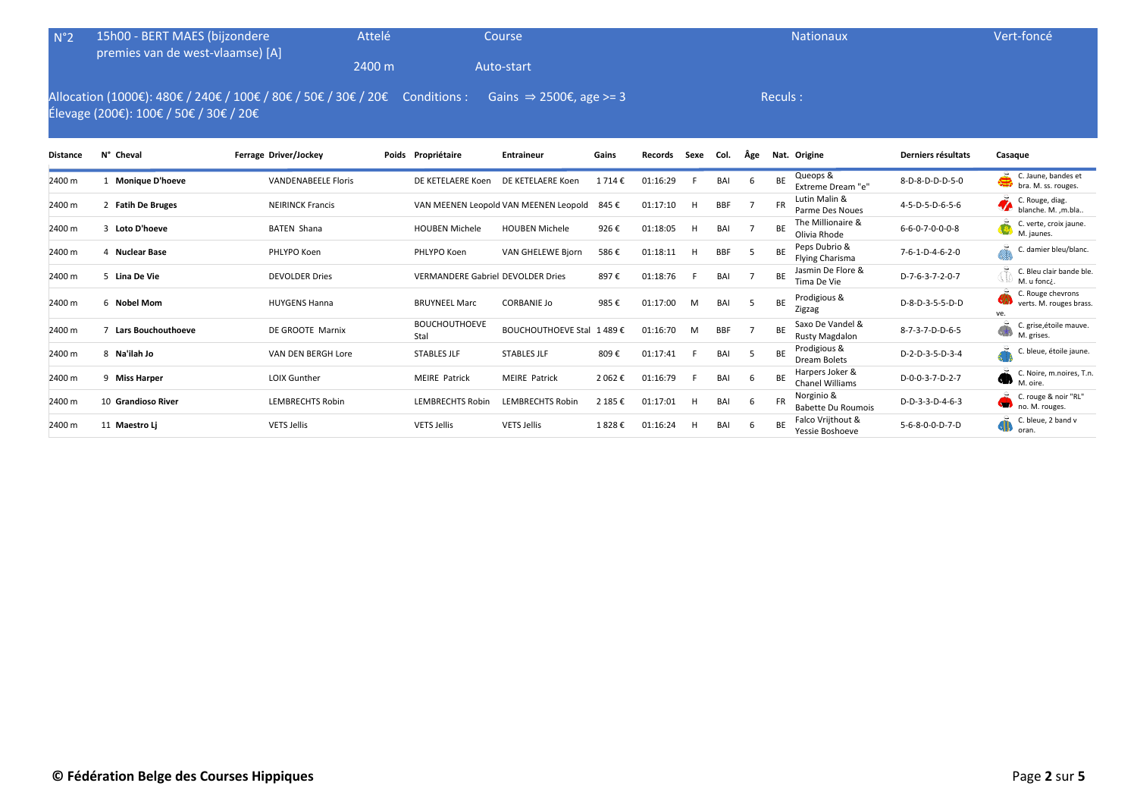| N°2             | 15h00 - BERT MAES (bijzondere          |                                                                | Attelé |                                          | Course                                |         |          |           |            |     |           | <b>Nationaux</b>                          |                             | Vert-foncé                                          |
|-----------------|----------------------------------------|----------------------------------------------------------------|--------|------------------------------------------|---------------------------------------|---------|----------|-----------|------------|-----|-----------|-------------------------------------------|-----------------------------|-----------------------------------------------------|
|                 | premies van de west-vlaamse) [A]       |                                                                | 2400 m |                                          | Auto-start                            |         |          |           |            |     |           |                                           |                             |                                                     |
|                 | Élevage (200€): 100€ / 50€ / 30€ / 20€ | Allocation (1000€): 480€ / 240€ / 100€ / 80€ / 50€ / 30€ / 20€ |        | Conditions :                             | Gains $\Rightarrow$ 2500€, age >= 3   |         |          |           |            |     | Reculs:   |                                           |                             |                                                     |
| <b>Distance</b> | N° Cheval                              | Ferrage Driver/Jockey                                          |        | Poids Propriétaire                       | <b>Entraineur</b>                     | Gains   | Records  | Sexe Col. |            | Âge |           | Nat. Origine                              | Derniers résultats          | Casaque                                             |
| 2400 m          | <b>Monique D'hoeve</b>                 | <b>VANDENABEELE Floris</b>                                     |        | DE KETELAERE Koen                        | DE KETELAERE Koen                     | 1714€   | 01:16:29 |           | BAI        | -6  | BE        | Queops &<br>Extreme Dream "e"             | 8-D-8-D-D-D-5-0             | C. Jaune, bandes et<br>bra. M. ss. rouges.          |
| 2400 m          | 2 Fatih De Bruges                      | <b>NEIRINCK Francis</b>                                        |        |                                          | VAN MEENEN Leopold VAN MEENEN Leopold | 845€    | 01:17:10 | H         | <b>BBF</b> |     | <b>FR</b> | Lutin Malin &<br>Parme Des Noues          | 4-5-D-5-D-6-5-6             | C. Rouge, diag.<br>blanche. M. , m.bla              |
| 2400 m          | 3 Loto D'hoeve                         | <b>BATEN Shana</b>                                             |        | <b>HOUBEN Michele</b>                    | <b>HOUBEN Michele</b>                 | 926€    | 01:18:05 | H         | BAI        |     | BE        | The Millionaire &<br>Olivia Rhode         | $6 - 6 - 0 - 7 - 0 - 0 - 8$ | C. verte, croix jaune.<br>M. jaunes.                |
| 2400 m          | 4 Nuclear Base                         | PHLYPO Koen                                                    |        | PHLYPO Koen                              | <b>VAN GHELEWE Bjorn</b>              | 586€    | 01:18:11 |           | <b>BBF</b> | -5  | BE        | Peps Dubrio &<br><b>Flying Charisma</b>   | 7-6-1-D-4-6-2-0             | C. damier bleu/blanc.                               |
| 2400 m          | 5 Lina De Vie                          | <b>DEVOLDER Dries</b>                                          |        | <b>VERMANDERE Gabriel DEVOLDER Dries</b> |                                       | 897€    | 01:18:76 |           | BAI        |     | BE        | Jasmin De Flore &<br>Tima De Vie          | D-7-6-3-7-2-0-7             | C. Bleu clair bande ble.<br>M. u fonci.             |
| 2400 m          | 6 Nobel Mom                            | <b>HUYGENS Hanna</b>                                           |        | <b>BRUYNEEL Marc</b>                     | <b>CORBANIE Jo</b>                    | 985€    | 01:17:00 | M         | BAI        | -5  | BE        | Prodigious &<br>Zigzag                    | D-8-D-3-5-5-D-D             | C. Rouge chevrons<br>verts. M. rouges brass.<br>ve. |
| 2400 m          | <b>Lars Bouchouthoeve</b>              | DE GROOTE Marnix                                               |        | <b>BOUCHOUTHOEVE</b><br>Stal             | BOUCHOUTHOEVE Stal 1 489 €            |         | 01:16:70 | M         | <b>BBF</b> |     | BE        | Saxo De Vandel &<br>Rusty Magdalon        | 8-7-3-7-D-D-6-5             | C. grise, étoile mauve.<br>M. grises.               |
| 2400 m          | 8 Na'ilah Jo                           | VAN DEN BERGH Lore                                             |        | <b>STABLES JLF</b>                       | <b>STABLES JLF</b>                    | 809€    | 01:17:41 |           | BAI        | -5  | BE        | Prodigious &<br><b>Dream Bolets</b>       | D-2-D-3-5-D-3-4             | C. bleue, étoile jaune.                             |
| 2400 m          | 9 Miss Harper                          | <b>LOIX Gunther</b>                                            |        | <b>MEIRE Patrick</b>                     | <b>MEIRE Patrick</b>                  | 2 062€  | 01:16:79 |           | BAI        | -6  | BE        | Harpers Joker &<br><b>Chanel Williams</b> | D-0-0-3-7-D-2-7             | C. Noire, m.noires, T.n.<br>w<br>M. oire.           |
| 2400 m          | 10 Grandioso River                     | <b>LEMBRECHTS Robin</b>                                        |        | <b>LEMBRECHTS Robin</b>                  | <b>LEMBRECHTS Robin</b>               | 2 185 € | 01:17:01 | H         | BAI        | 6   | <b>FR</b> | Norginio &<br><b>Babette Du Roumois</b>   | D-D-3-3-D-4-6-3             | C. rouge & noir "RL"<br>SH.<br>no. M. rouges.       |
| 2400 m          | 11 Maestro Li                          | <b>VETS Jellis</b>                                             |        | <b>VETS Jellis</b>                       | <b>VETS Jellis</b>                    | 1828€   | 01:16:24 |           | BAI        | -6  | BE        | Falco Vrijthout &<br>Yessie Boshoeve      | 5-6-8-0-0-D-7-D             | C. bleue, 2 band v<br>sШ<br>oran.                   |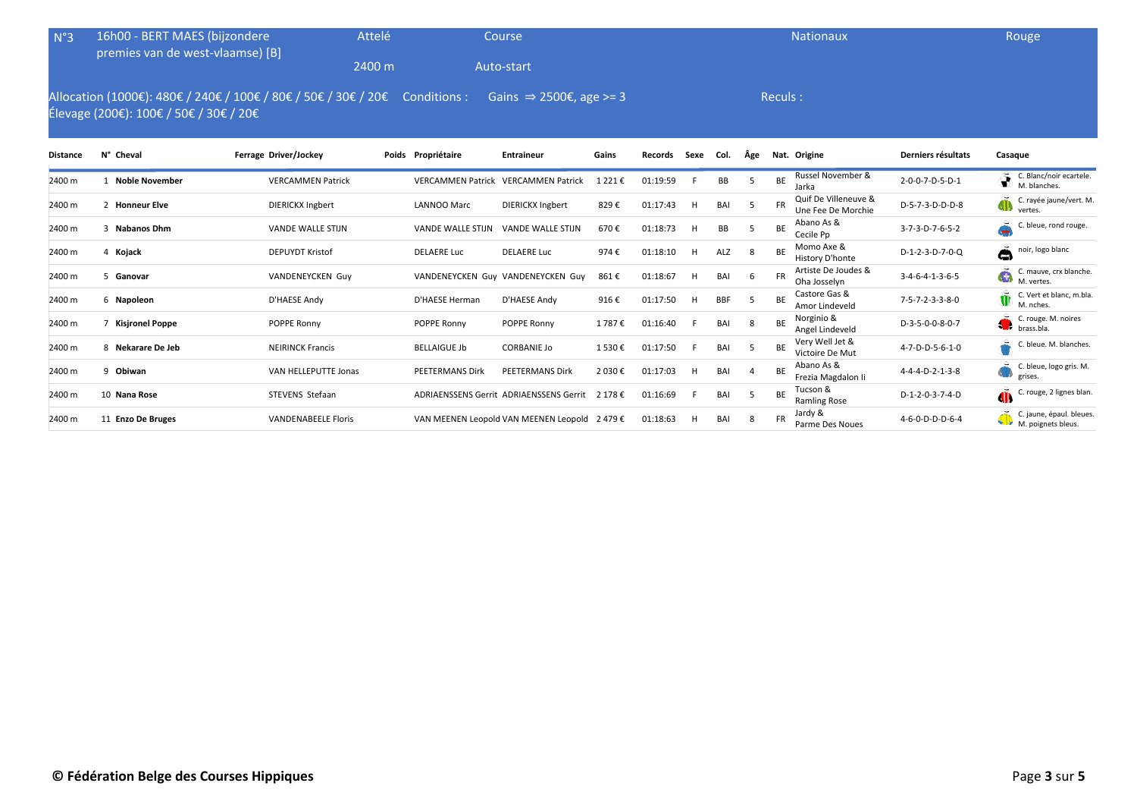| N°3             | 16h00 - BERT MAES (bijzondere<br>premies van de west-vlaamse) [B]                                        |                            | Attelé |                          | Course                                         |           |          |      |            |          |           | <b>Nationaux</b>                           |                    | Rouge                                                         |
|-----------------|----------------------------------------------------------------------------------------------------------|----------------------------|--------|--------------------------|------------------------------------------------|-----------|----------|------|------------|----------|-----------|--------------------------------------------|--------------------|---------------------------------------------------------------|
|                 |                                                                                                          |                            | 2400 m |                          | Auto-start                                     |           |          |      |            |          |           |                                            |                    |                                                               |
|                 | Allocation (1000€): 480€ / 240€ / 100€ / 80€ / 50€ / 30€ / 20€<br>Élevage (200€): 100€ / 50€ / 30€ / 20€ |                            |        | Conditions :             | Gains $\Rightarrow$ 2500€, age >= 3            |           |          |      |            |          | Reculs:   |                                            |                    |                                                               |
| <b>Distance</b> | N° Cheval                                                                                                | Ferrage Driver/Jockey      |        | Poids Propriétaire       | <b>Entraineur</b>                              | Gains     | Records  | Sexe | Col.       | Âge      |           | Nat. Origine                               | Derniers résultats | Casaque                                                       |
| 2400 m          | <b>Noble November</b>                                                                                    | <b>VERCAMMEN Patrick</b>   |        | <b>VERCAMMEN Patrick</b> | <b>VERCAMMEN Patrick</b>                       | 1 2 2 1 € | 01:19:59 |      | BB         | -5       | BE        | Russel November &<br>Jarka                 | 2-0-0-7-D-5-D-1    | C. Blanc/noir ecartele.<br>M. blanches.                       |
| 2400 m          | 2 Honneur Elve                                                                                           | <b>DIERICKX Ingbert</b>    |        | LANNOO Marc              | <b>DIERICKX Ingbert</b>                        | 829€      | 01:17:43 | H    | BAI        |          | <b>FR</b> | Quif De Villeneuve &<br>Une Fee De Morchie | D-5-7-3-D-D-D-8    | C. rayée jaune/vert. M.<br>gjy<br>vertes.                     |
| 2400 m          | 3 Nabanos Dhm                                                                                            | <b>VANDE WALLE STIJN</b>   |        | <b>VANDE WALLE STIJN</b> | <b>VANDE WALLE STIJN</b>                       | 670€      | 01:18:73 | H    | BB         | .5       | BE        | Abano As &<br>Cecile Pp                    | 3-7-3-D-7-6-5-2    | bleue, rond rouge.                                            |
| 2400 m          | 4 Kojack                                                                                                 | <b>DEPUYDT Kristof</b>     |        | <b>DELAERE Luc</b>       | <b>DELAERE Luc</b>                             | 974€      | 01:18:10 | H    | ALZ        | -8       | <b>BE</b> | Momo Axe &<br>History D'honte              | $D-1-2-3-D-7-0-Q$  | å<br>noir, logo blanc                                         |
| 2400 m          | 5 Ganovar                                                                                                | VANDENEYCKEN Guy           |        |                          | VANDENEYCKEN Guy VANDENEYCKEN Guy              | 861€      | 01:18:67 | H    | BAI        | 6        | <b>FR</b> | Artiste De Joudes &<br>Oha Josselyn        | $3-4-6-4-1-3-6-5$  | C. mauve, crx blanche.<br>Q<br>M. vertes.                     |
| 2400 m          | 6 Napoleon                                                                                               | D'HAESE Andy               |        | D'HAESE Herman           | D'HAESE Andy                                   | 916€      | 01:17:50 | н    | <b>BBF</b> |          | <b>BE</b> | Castore Gas &<br>Amor Lindeveld            | 7-5-7-2-3-3-8-0    | $\tilde{\mathbf{w}}$<br>C. Vert et blanc, m.bla.<br>M. nches. |
| 2400 m          | 7 Kisjronel Poppe                                                                                        | POPPE Ronny                |        | POPPE Ronny              | POPPE Ronny                                    | 1787€     | 01:16:40 | E    | BAI        | 8        | <b>BE</b> | Norginio &<br>Angel Lindeveld              | D-3-5-0-0-8-0-7    | C. rouge. M. noires<br>A I.<br>brass.bla.                     |
| 2400 m          | 8 Nekarare De Jeb                                                                                        | <b>NEIRINCK Francis</b>    |        | <b>BELLAIGUE Jb</b>      | <b>CORBANIE Jo</b>                             | 1530€     | 01:17:50 | F    | BAI        | -5       | BE        | Very Well Jet &<br>Victoire De Mut         | 4-7-D-D-5-6-1-0    | . bleue. M. blanches.                                         |
| 2400 m          | 9 Obiwan                                                                                                 | VAN HELLEPUTTE Jonas       |        | PEETERMANS Dirk          | <b>PEETERMANS Dirk</b>                         | 2 030 €   | 01:17:03 | н    | BAI        | $\Delta$ | <b>BE</b> | Abano As &<br>Frezia Magdalon li           | 4-4-4-D-2-1-3-8    | C. bleue, logo gris. M.<br>grises.                            |
| 2400 m          | 10 Nana Rose                                                                                             | STEVENS Stefaan            |        |                          | <b>ADRIAENSSENS Gerrit ADRIAENSSENS Gerrit</b> | 2 178 €   | 01:16:69 | F.   | BAI        | 5        | BE        | Tucson &<br><b>Ramling Rose</b>            | D-1-2-0-3-7-4-D    | $\ddot{\mathbf{w}}$<br>rouge, 2 lignes blan.                  |
| 2400 m          | 11 Enzo De Bruges                                                                                        | <b>VANDENABEELE Floris</b> |        |                          | VAN MEENEN Leopold VAN MEENEN Leopold 2 479 €  |           | 01:18:63 | н    | BAI        | -8       | <b>FR</b> | Jardy &<br>Parme Des Noues                 | 4-6-0-D-D-D-6-4    | C. jaune, épaul. bleues.<br>M. poignets bleus.                |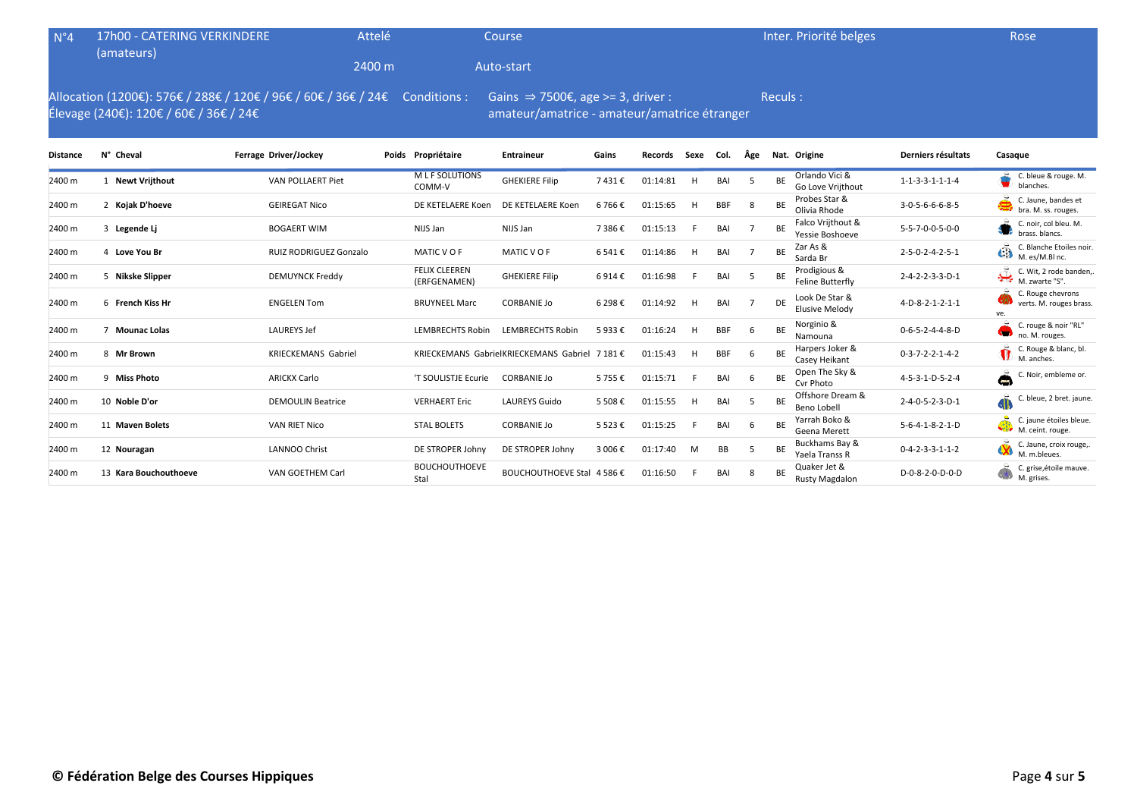| N°4 17h00 - CATERING VERKINDERE<br>(amateurs)                                                                             | Attelé | Coursel    | Inter. Priorité belges | Rose |
|---------------------------------------------------------------------------------------------------------------------------|--------|------------|------------------------|------|
|                                                                                                                           | 2400 m | Auto-start |                        |      |
| Allocation (1200€): 576€ / 288€ / 120€ / 96€ / 60€ / 36€ / 24€ Conditions : Gains $\Rightarrow$ 7500€, age >= 3, driver : |        |            | Reculs:                |      |

Allocation (1200€): 576€ / 288€ / 120€ / 96€ / 60€ / 36€ / 24€ Élevage (240€): 120€ / 60€ / 36€ / 24€

amateur/amatrice - amateur/amatrice étranger

| <b>Distance</b> | N° Cheval             | Ferrage Driver/Jockey      | Poids Propriétaire                   | <b>Entraineur</b>                      | Gains     | Records  | Sexe | Col.       | Age |           | Nat. Origine                            | Derniers résultats              | Casaque                                                          |
|-----------------|-----------------------|----------------------------|--------------------------------------|----------------------------------------|-----------|----------|------|------------|-----|-----------|-----------------------------------------|---------------------------------|------------------------------------------------------------------|
| 2400 m          | <b>Newt Vrijthout</b> | VAN POLLAERT Piet          | <b>MLF SOLUTIONS</b><br>COMM-V       | <b>GHEKIERE Filip</b>                  | 7431€     | 01:14:81 | H    | BAI        | -5  | BE        | Orlando Vici &<br>Go Love Vrijthout     | $1 - 1 - 3 - 3 - 1 - 1 - 1 - 4$ | C. bleue & rouge. M.<br>blanches.                                |
| 2400 m          | 2 Kojak D'hoeve       | <b>GEIREGAT Nico</b>       | DE KETELAERE Koen                    | DE KETELAERE Koen                      | 6 766 €   | 01:15:65 | H    | <b>BBF</b> | -8  | BE        | Probes Star &<br>Olivia Rhode           | 3-0-5-6-6-6-8-5                 | Š<br>C. Jaune, bandes et<br>bra. M. ss. rouges.                  |
| 2400 m          | 3 Legende Lj          | <b>BOGAERT WIM</b>         | NIJS Jan                             | NIJS Jan                               | 7 386€    | 01:15:13 |      | BAI        |     | <b>BE</b> | Falco Vrijthout &<br>Yessie Boshoeve    | 5-5-7-0-0-5-0-0                 | C. noir, col bleu. M.<br>brass, blancs.                          |
| 2400 m          | 4 Love You Br         | RUIZ RODRIGUEZ Gonzalo     | MATIC VOF                            | MATIC VOF                              | 6 541€    | 01:14:86 | H    | BAI        |     | <b>BE</b> | Zar As &<br>Sarda Br                    | $2 - 5 - 0 - 2 - 4 - 2 - 5 - 1$ | C. Blanche Etoiles noir.<br>$\overrightarrow{CD}$ C. Blanche Les |
| 2400 m          | 5 Nikske Slipper      | <b>DEMUYNCK Freddy</b>     | <b>FELIX CLEEREN</b><br>(ERFGENAMEN) | <b>GHEKIERE Filip</b>                  | 6914€     | 01:16:98 |      | BAI        |     | BE        | Prodigious &<br>Feline Butterfly        | 2-4-2-2-3-3-D-1                 | پیکہ<br>C. Wit, 2 rode banden,.<br>M. zwarte "S".                |
| 2400 m          | 6 French Kiss Hr      | <b>ENGELEN Tom</b>         | <b>BRUYNEEL Marc</b>                 | <b>CORBANIE Jo</b>                     | 6 298 €   | 01:14:92 | H    | BAI        |     | DE        | Look De Star &<br><b>Elusive Melody</b> | 4-D-8-2-1-2-1-1                 | C. Rouge chevrons<br>verts. M. rouges brass.<br>ve.              |
| 2400 m          | <b>Mounac Lolas</b>   | <b>LAUREYS Jef</b>         | <b>LEMBRECHTS Robin</b>              | <b>LEMBRECHTS Robin</b>                | 5933€     | 01:16:24 | н    | <b>BBF</b> | -6  | <b>BE</b> | Norginio &<br>Namouna                   | $0 - 6 - 5 - 2 - 4 - 4 - 8 - D$ | C. rouge & noir "RL"<br><b>SED</b><br>no. M. rouges.             |
| 2400 m          | 8 Mr Brown            | <b>KRIECKEMANS Gabriel</b> |                                      | KRIECKEMANS GabrielKRIECKEMANS Gabriel | 7 181 €   | 01:15:43 | H    | <b>BBF</b> |     | BE        | Harpers Joker &<br>Casey Heikant        | $0 - 3 - 7 - 2 - 2 - 1 - 4 - 2$ | C. Rouge & blanc, bl.<br>$\mathbf{u}$<br>M. anches.              |
| 2400 m          | 9 Miss Photo          | <b>ARICKX Carlo</b>        | 'T SOULISTJE Ecurie                  | <b>CORBANIE Jo</b>                     | 5755€     | 01:15:71 |      | BAI        | -6  | <b>BE</b> | Open The Sky &<br>Cvr Photo             | 4-5-3-1-D-5-2-4                 | à<br>C. Noir, embleme or.                                        |
| 2400 m          | 10 Noble D'or         | <b>DEMOULIN Beatrice</b>   | <b>VERHAERT Eric</b>                 | <b>LAUREYS Guido</b>                   | 5 508€    | 01:15:55 | H.   | BAI        | -5  | <b>BE</b> | Offshore Dream &<br>Beno Lobell         | $2 - 4 - 0 - 5 - 2 - 3 - D - 1$ | ã<br>C. bleue, 2 bret. jaune.                                    |
| 2400 m          | 11 Maven Bolets       | <b>VAN RIET Nico</b>       | <b>STAL BOLETS</b>                   | <b>CORBANIE Jo</b>                     | 5 5 2 3 € | 01:15:25 |      | BAI        | -6  | ВE        | Yarrah Boko &<br>Geena Merett           | $5 - 6 - 4 - 1 - 8 - 2 - 1 - D$ | C. jaune étoiles bleue.<br>$\bigoplus_{M. \text{ceint. rough}}$  |
| 2400 m          | 12 Nouragan           | <b>LANNOO Christ</b>       | DE STROPER Johny                     | DE STROPER Johny                       | 3 006 €   | 01:17:40 | M    | BB         |     | BE        | Buckhams Bay &<br>Yaela Transs R        | $0 - 4 - 2 - 3 - 3 - 1 - 1 - 2$ | C. Jaune, croix rouge,.<br>$\mathbf x$<br>M. m.bleues.           |
| 2400 m          | 13 Kara Bouchouthoeve | VAN GOETHEM Carl           | <b>BOUCHOUTHOEVE</b><br>Stal         | <b>BOUCHOUTHOEVE Stal</b>              | 4 586 €   | 01:16:50 |      | BAI        |     | BE        | Quaker Jet &<br><b>Rusty Magdalon</b>   | D-0-8-2-0-D-0-D                 | C. grise, étoile mauve.<br>M. grises.                            |